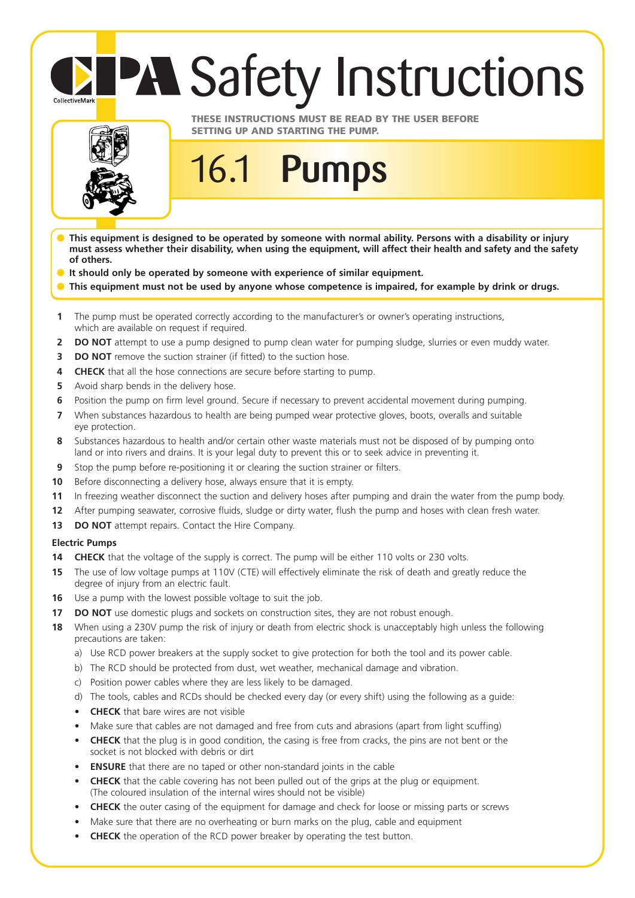## **PA Safety Instructions**



CollectiveMark

## **THESE INSTRUCTIONS MUST BE READ BY THE USER BEFORE SETTING UP AND STARTING THE PUMP.**

- **This equipment is designed to be operated by someone with normal ability. Persons with a disability or injury must assess whether their disability, when using the equipment, will affect their health and safety and the safety of others.**
- **It should only be operated by someone with experience of similar equipment.**
- This equipment must not be used by anyone whose competence is impaired, for example by drink or drugs.
- **1** The pump must be operated correctly according to the manufacturer's or owner's operating instructions, which are available on request if required.

16.1 **Pumps** 

- **2 DO NOT** attempt to use a pump designed to pump clean water for pumping sludge, slurries or even muddy water.
- **3 DO NOT** remove the suction strainer (if fitted) to the suction hose.
- **4 CHECK** that all the hose connections are secure before starting to pump.
- **5** Avoid sharp bends in the delivery hose.
- **6** Position the pump on firm level ground. Secure if necessary to prevent accidental movement during pumping.
- **7** When substances hazardous to health are being pumped wear protective gloves, boots, overalls and suitable eye protection.
- **8** Substances hazardous to health and/or certain other waste materials must not be disposed of by pumping onto land or into rivers and drains. It is your legal duty to prevent this or to seek advice in preventing it.
- **9** Stop the pump before re-positioning it or clearing the suction strainer or filters.
- **10** Before disconnecting a delivery hose, always ensure that it is empty.
- **11** In freezing weather disconnect the suction and delivery hoses after pumping and drain the water from the pump body.
- **12** After pumping seawater, corrosive fluids, sludge or dirty water, flush the pump and hoses with clean fresh water.
- **13 DO NOT** attempt repairs. Contact the Hire Company.

## **Electric Pumps**

- **14 CHECK** that the voltage of the supply is correct. The pump will be either 110 volts or 230 volts.
- **15** The use of low voltage pumps at 110V (CTE) will effectively eliminate the risk of death and greatly reduce the degree of injury from an electric fault.
- **16** Use a pump with the lowest possible voltage to suit the job.
- **17 DO NOT** use domestic plugs and sockets on construction sites, they are not robust enough.
- **18** When using a 230V pump the risk of injury or death from electric shock is unacceptably high unless the following precautions are taken:
	- a) Use RCD power breakers at the supply socket to give protection for both the tool and its power cable.
	- b) The RCD should be protected from dust, wet weather, mechanical damage and vibration.
	- c) Position power cables where they are less likely to be damaged.
	- d) The tools, cables and RCDs should be checked every day (or every shift) using the following as a guide:
	- **CHECK** that bare wires are not visible
	- Make sure that cables are not damaged and free from cuts and abrasions (apart from light scuffing)
	- **CHECK** that the plug is in good condition, the casing is free from cracks, the pins are not bent or the socket is not blocked with debris or dirt
	- **ENSURE** that there are no taped or other non-standard joints in the cable
	- **CHECK** that the cable covering has not been pulled out of the grips at the plug or equipment. (The coloured insulation of the internal wires should not be visible)
	- **CHECK** the outer casing of the equipment for damage and check for loose or missing parts or screws
	- Make sure that there are no overheating or burn marks on the plug, cable and equipment
	- **CHECK** the operation of the RCD power breaker by operating the test button.